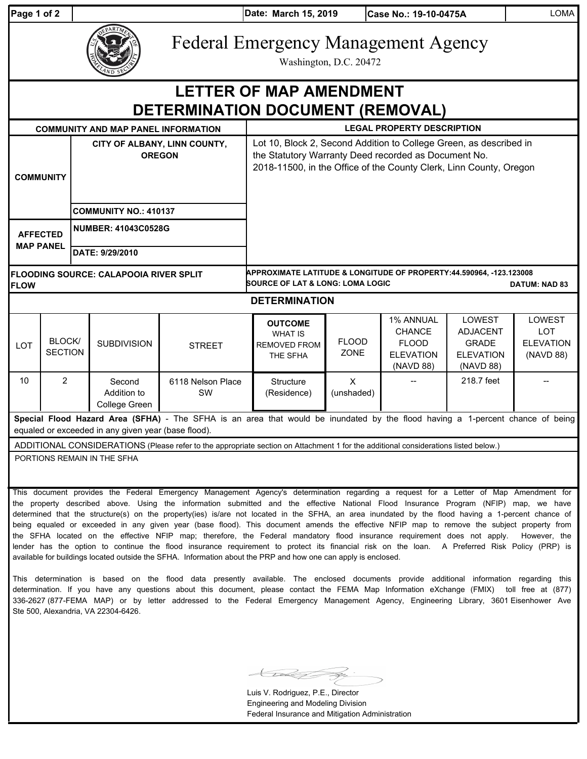| Page 1 of 2 |  |  |
|-------------|--|--|
|             |  |  |

**Pate: March 15, 2019** 

| EPARTME<br><b>LAND SEC</b> |
|----------------------------|
|----------------------------|

Federal Emergency Management Agency

Washington, D.C. 20472

## **DETERMINATION DOCUMENT (REMOVAL) LETTER OF MAP AMENDMENT**

| <b>COMMUNITY AND MAP PANEL INFORMATION</b>                                                                                                                                            |                          |                                               |                                        |                                                                                                                                                                                                  | <b>LEGAL PROPERTY DESCRIPTION</b>                                                                                                          |                        |                                                                             |                                                                                   |                                                       |  |
|---------------------------------------------------------------------------------------------------------------------------------------------------------------------------------------|--------------------------|-----------------------------------------------|----------------------------------------|--------------------------------------------------------------------------------------------------------------------------------------------------------------------------------------------------|--------------------------------------------------------------------------------------------------------------------------------------------|------------------------|-----------------------------------------------------------------------------|-----------------------------------------------------------------------------------|-------------------------------------------------------|--|
| <b>COMMUNITY</b>                                                                                                                                                                      |                          | CITY OF ALBANY, LINN COUNTY,<br><b>OREGON</b> |                                        | Lot 10, Block 2, Second Addition to College Green, as described in<br>the Statutory Warranty Deed recorded as Document No.<br>2018-11500, in the Office of the County Clerk, Linn County, Oregon |                                                                                                                                            |                        |                                                                             |                                                                                   |                                                       |  |
|                                                                                                                                                                                       |                          | <b>COMMUNITY NO.: 410137</b>                  |                                        |                                                                                                                                                                                                  |                                                                                                                                            |                        |                                                                             |                                                                                   |                                                       |  |
| <b>AFFECTED</b><br><b>MAP PANEL</b>                                                                                                                                                   |                          |                                               | <b>NUMBER: 41043C0528G</b>             |                                                                                                                                                                                                  |                                                                                                                                            |                        |                                                                             |                                                                                   |                                                       |  |
|                                                                                                                                                                                       |                          | DATE: 9/29/2010                               |                                        |                                                                                                                                                                                                  |                                                                                                                                            |                        |                                                                             |                                                                                   |                                                       |  |
| <b>FLOODING SOURCE: CALAPOOIA RIVER SPLIT</b><br><b>FLOW</b>                                                                                                                          |                          |                                               |                                        |                                                                                                                                                                                                  | APPROXIMATE LATITUDE & LONGITUDE OF PROPERTY:44.590964, -123.123008<br><b>SOURCE OF LAT &amp; LONG: LOMA LOGIC</b><br><b>DATUM: NAD 83</b> |                        |                                                                             |                                                                                   |                                                       |  |
| <b>DETERMINATION</b>                                                                                                                                                                  |                          |                                               |                                        |                                                                                                                                                                                                  |                                                                                                                                            |                        |                                                                             |                                                                                   |                                                       |  |
| <b>LOT</b>                                                                                                                                                                            | BLOCK/<br><b>SECTION</b> |                                               | <b>SUBDIVISION</b>                     | <b>STREET</b>                                                                                                                                                                                    | <b>OUTCOME</b><br><b>WHAT IS</b><br><b>REMOVED FROM</b><br>THE SFHA                                                                        | <b>FLOOD</b><br>ZONE   | 1% ANNUAL<br><b>CHANCE</b><br><b>FLOOD</b><br><b>ELEVATION</b><br>(NAVD 88) | <b>LOWEST</b><br><b>ADJACENT</b><br><b>GRADE</b><br><b>ELEVATION</b><br>(NAVD 88) | LOWEST<br><b>LOT</b><br><b>ELEVATION</b><br>(NAVD 88) |  |
| 10                                                                                                                                                                                    | $\overline{2}$           |                                               | Second<br>Addition to<br>College Green | 6118 Nelson Place<br><b>SW</b>                                                                                                                                                                   | Structure<br>(Residence)                                                                                                                   | $\times$<br>(unshaded) |                                                                             | 218.7 feet                                                                        |                                                       |  |
| Special Flood Hazard Area (SFHA) - The SFHA is an area that would be inundated by the flood having a 1-percent chance of being<br>equaled or exceeded in any given year (base flood). |                          |                                               |                                        |                                                                                                                                                                                                  |                                                                                                                                            |                        |                                                                             |                                                                                   |                                                       |  |
| ADDITIONAL CONSIDERATIONS (Please refer to the appropriate section on Attachment 1 for the additional considerations listed below.)                                                   |                          |                                               |                                        |                                                                                                                                                                                                  |                                                                                                                                            |                        |                                                                             |                                                                                   |                                                       |  |
| PORTIONS REMAIN IN THE SFHA                                                                                                                                                           |                          |                                               |                                        |                                                                                                                                                                                                  |                                                                                                                                            |                        |                                                                             |                                                                                   |                                                       |  |

This document provides the Federal Emergency Management Agency's determination regarding a request for a Letter of Map Amendment for the property described above. Using the information submitted and the effective National Flood Insurance Program (NFIP) map, we have determined that the structure(s) on the property(ies) is/are not located in the SFHA, an area inundated by the flood having a 1-percent chance of being equaled or exceeded in any given year (base flood). This document amends the effective NFIP map to remove the subject property from the SFHA located on the effective NFIP map; therefore, the Federal mandatory flood insurance requirement does not apply. However, the lender has the option to continue the flood insurance requirement to protect its financial risk on the loan. A Preferred Risk Policy (PRP) is available for buildings located outside the SFHA. Information about the PRP and how one can apply is enclosed.

This determination is based on the flood data presently available. The enclosed documents provide additional information regarding this determination. If you have any questions about this document, please contact the FEMA Map Information eXchange (FMIX) toll free at (877) 336-2627 (877-FEMA MAP) or by letter addressed to the Federal Emergency Management Agency, Engineering Library, 3601 Eisenhower Ave Ste 500, Alexandria, VA 22304-6426.

Luis V. Rodriguez, P.E., Director Engineering and Modeling Division Federal Insurance and Mitigation Administration